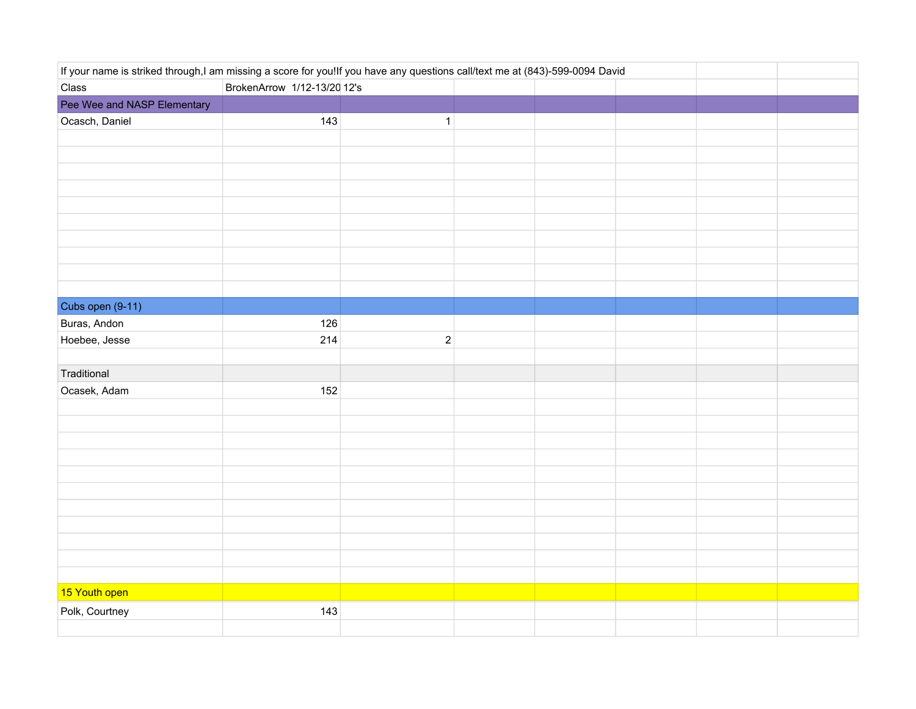| If your name is striked through,I am missing a score for you!If you have any questions call/text me at (843)-599-0094 David |                             |              |  |  |  |
|-----------------------------------------------------------------------------------------------------------------------------|-----------------------------|--------------|--|--|--|
| Class                                                                                                                       | BrokenArrow 1/12-13/20 12's |              |  |  |  |
| Pee Wee and NASP Elementary                                                                                                 |                             |              |  |  |  |
| Ocasch, Daniel                                                                                                              | 143                         | $\mathbf{1}$ |  |  |  |
|                                                                                                                             |                             |              |  |  |  |
|                                                                                                                             |                             |              |  |  |  |
|                                                                                                                             |                             |              |  |  |  |
|                                                                                                                             |                             |              |  |  |  |
|                                                                                                                             |                             |              |  |  |  |
|                                                                                                                             |                             |              |  |  |  |
|                                                                                                                             |                             |              |  |  |  |
|                                                                                                                             |                             |              |  |  |  |
|                                                                                                                             |                             |              |  |  |  |
|                                                                                                                             |                             |              |  |  |  |
| Cubs open (9-11)                                                                                                            |                             |              |  |  |  |
| Buras, Andon                                                                                                                | 126                         |              |  |  |  |
| Hoebee, Jesse                                                                                                               | 214                         | $\sqrt{2}$   |  |  |  |
|                                                                                                                             |                             |              |  |  |  |
| Traditional                                                                                                                 |                             |              |  |  |  |
| Ocasek, Adam                                                                                                                | 152                         |              |  |  |  |
|                                                                                                                             |                             |              |  |  |  |
|                                                                                                                             |                             |              |  |  |  |
|                                                                                                                             |                             |              |  |  |  |
|                                                                                                                             |                             |              |  |  |  |
|                                                                                                                             |                             |              |  |  |  |
|                                                                                                                             |                             |              |  |  |  |
|                                                                                                                             |                             |              |  |  |  |
|                                                                                                                             |                             |              |  |  |  |
|                                                                                                                             |                             |              |  |  |  |
|                                                                                                                             |                             |              |  |  |  |
|                                                                                                                             |                             |              |  |  |  |
| 15 Youth open                                                                                                               |                             |              |  |  |  |
| Polk, Courtney                                                                                                              | 143                         |              |  |  |  |
|                                                                                                                             |                             |              |  |  |  |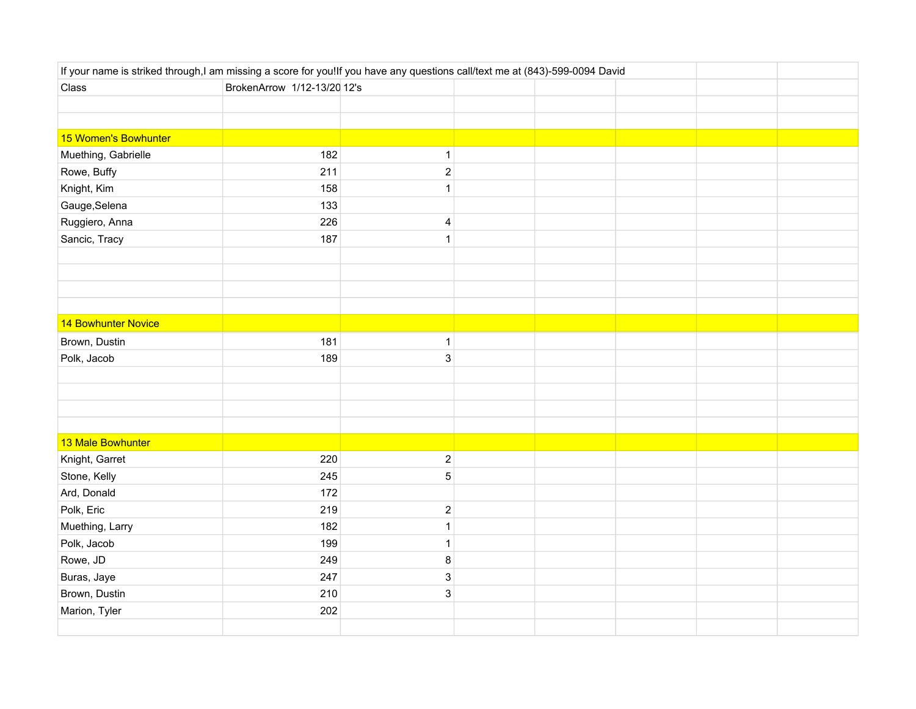| If your name is striked through,I am missing a score for you!If you have any questions call/text me at (843)-599-0094 David |                             |                           |  |  |  |  |  |
|-----------------------------------------------------------------------------------------------------------------------------|-----------------------------|---------------------------|--|--|--|--|--|
| Class                                                                                                                       | BrokenArrow 1/12-13/20 12's |                           |  |  |  |  |  |
|                                                                                                                             |                             |                           |  |  |  |  |  |
|                                                                                                                             |                             |                           |  |  |  |  |  |
| 15 Women's Bowhunter                                                                                                        |                             |                           |  |  |  |  |  |
| Muething, Gabrielle                                                                                                         | 182                         | $\mathbf{1}$              |  |  |  |  |  |
| Rowe, Buffy                                                                                                                 | 211                         | $\overline{2}$            |  |  |  |  |  |
| Knight, Kim                                                                                                                 | 158                         | $\mathbf{1}$              |  |  |  |  |  |
| Gauge, Selena                                                                                                               | 133                         |                           |  |  |  |  |  |
| Ruggiero, Anna                                                                                                              | 226                         | $\overline{\mathbf{4}}$   |  |  |  |  |  |
| Sancic, Tracy                                                                                                               | 187                         | $\mathbf{1}$              |  |  |  |  |  |
|                                                                                                                             |                             |                           |  |  |  |  |  |
|                                                                                                                             |                             |                           |  |  |  |  |  |
|                                                                                                                             |                             |                           |  |  |  |  |  |
|                                                                                                                             |                             |                           |  |  |  |  |  |
| 14 Bowhunter Novice                                                                                                         |                             |                           |  |  |  |  |  |
| Brown, Dustin                                                                                                               | 181                         | $\mathbf{1}$              |  |  |  |  |  |
| Polk, Jacob                                                                                                                 | 189                         | $\mathsf 3$               |  |  |  |  |  |
|                                                                                                                             |                             |                           |  |  |  |  |  |
|                                                                                                                             |                             |                           |  |  |  |  |  |
|                                                                                                                             |                             |                           |  |  |  |  |  |
|                                                                                                                             |                             |                           |  |  |  |  |  |
| 13 Male Bowhunter                                                                                                           |                             |                           |  |  |  |  |  |
| Knight, Garret                                                                                                              | 220                         | $\boldsymbol{2}$          |  |  |  |  |  |
| Stone, Kelly                                                                                                                | 245                         | $\mathbf 5$               |  |  |  |  |  |
| Ard, Donald                                                                                                                 | 172                         |                           |  |  |  |  |  |
| Polk, Eric                                                                                                                  | 219                         | $\boldsymbol{2}$          |  |  |  |  |  |
| Muething, Larry                                                                                                             | 182                         | $\mathbf 1$               |  |  |  |  |  |
| Polk, Jacob                                                                                                                 | 199                         | $\mathbf{1}$              |  |  |  |  |  |
| Rowe, JD                                                                                                                    | 249                         | $\bf 8$                   |  |  |  |  |  |
| Buras, Jaye                                                                                                                 | 247                         | $\ensuremath{\mathsf{3}}$ |  |  |  |  |  |
| Brown, Dustin                                                                                                               | 210                         | $\ensuremath{\mathsf{3}}$ |  |  |  |  |  |
| Marion, Tyler                                                                                                               | 202                         |                           |  |  |  |  |  |
|                                                                                                                             |                             |                           |  |  |  |  |  |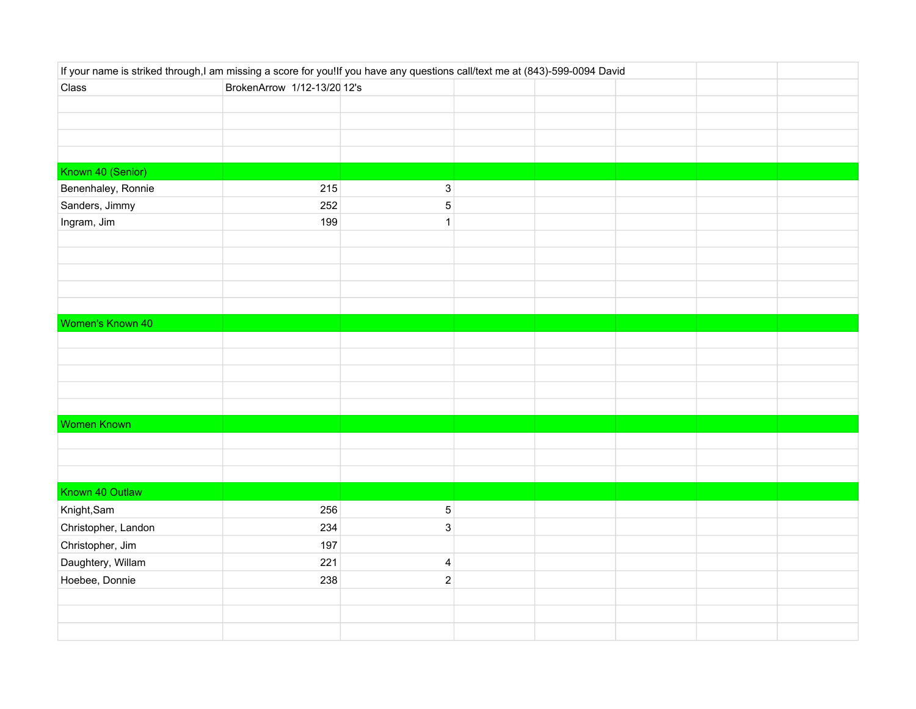| If your name is striked through,I am missing a score for you!If you have any questions call/text me at (843)-599-0094 David |                             |                           |  |  |  |
|-----------------------------------------------------------------------------------------------------------------------------|-----------------------------|---------------------------|--|--|--|
| Class                                                                                                                       | BrokenArrow 1/12-13/20 12's |                           |  |  |  |
|                                                                                                                             |                             |                           |  |  |  |
|                                                                                                                             |                             |                           |  |  |  |
|                                                                                                                             |                             |                           |  |  |  |
|                                                                                                                             |                             |                           |  |  |  |
| Known 40 (Senior)                                                                                                           |                             |                           |  |  |  |
| Benenhaley, Ronnie                                                                                                          | 215                         | $\ensuremath{\mathsf{3}}$ |  |  |  |
| Sanders, Jimmy                                                                                                              | 252                         | $\,$ 5 $\,$               |  |  |  |
| Ingram, Jim                                                                                                                 | 199                         | $\mathbf{1}$              |  |  |  |
|                                                                                                                             |                             |                           |  |  |  |
|                                                                                                                             |                             |                           |  |  |  |
|                                                                                                                             |                             |                           |  |  |  |
|                                                                                                                             |                             |                           |  |  |  |
|                                                                                                                             |                             |                           |  |  |  |
| Women's Known 40                                                                                                            |                             |                           |  |  |  |
|                                                                                                                             |                             |                           |  |  |  |
|                                                                                                                             |                             |                           |  |  |  |
|                                                                                                                             |                             |                           |  |  |  |
|                                                                                                                             |                             |                           |  |  |  |
|                                                                                                                             |                             |                           |  |  |  |
| <b>Women Known</b>                                                                                                          |                             |                           |  |  |  |
|                                                                                                                             |                             |                           |  |  |  |
|                                                                                                                             |                             |                           |  |  |  |
|                                                                                                                             |                             |                           |  |  |  |
| Known 40 Outlaw                                                                                                             |                             |                           |  |  |  |
| Knight, Sam                                                                                                                 | 256                         | $\,$ 5 $\,$               |  |  |  |
| Christopher, Landon                                                                                                         | 234                         | $\mathsf 3$               |  |  |  |
| Christopher, Jim                                                                                                            | 197                         |                           |  |  |  |
| Daughtery, Willam                                                                                                           | 221                         | $\overline{\mathbf{4}}$   |  |  |  |
| Hoebee, Donnie                                                                                                              | 238                         | $\overline{2}$            |  |  |  |
|                                                                                                                             |                             |                           |  |  |  |
|                                                                                                                             |                             |                           |  |  |  |
|                                                                                                                             |                             |                           |  |  |  |